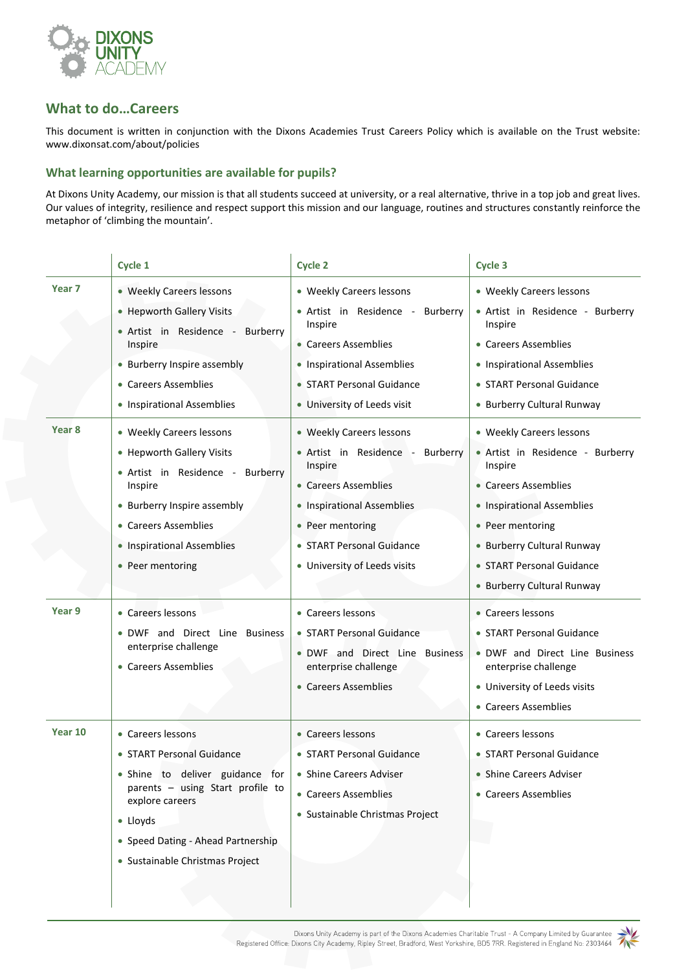

## **What to do…Careers**

 $\mathbf{r}$ 

This document is written in conjunction with the Dixons Academies Trust Careers Policy which is available on the Trust website: [www.dixonsat.com/about/policies](http://www.dixonsat.com/about/policies)

## **What learning opportunities are available for pupils?**

At Dixons Unity Academy, our mission is that all students succeed at university, or a real alternative, thrive in a top job and great lives. Our values of integrity, resilience and respect support this mission and our language, routines and structures constantly reinforce the metaphor of 'climbing the mountain'.

à.

j,

|                   | Cycle 1                                                                                   | <b>Cycle 2</b>                                                          | Cycle 3                                                                 |
|-------------------|-------------------------------------------------------------------------------------------|-------------------------------------------------------------------------|-------------------------------------------------------------------------|
| Year <sub>7</sub> | • Weekly Careers lessons<br>• Hepworth Gallery Visits<br>· Artist in Residence - Burberry | • Weekly Careers lessons<br>• Artist in Residence - Burberry<br>Inspire | • Weekly Careers lessons<br>• Artist in Residence - Burberry<br>Inspire |
|                   | Inspire                                                                                   | • Careers Assemblies                                                    | • Careers Assemblies                                                    |
|                   | • Burberry Inspire assembly                                                               | • Inspirational Assemblies                                              | • Inspirational Assemblies                                              |
|                   | • Careers Assemblies                                                                      | • START Personal Guidance                                               | • START Personal Guidance                                               |
|                   | • Inspirational Assemblies                                                                | • University of Leeds visit                                             | • Burberry Cultural Runway                                              |
| Year <sub>8</sub> | • Weekly Careers lessons<br>• Hepworth Gallery Visits                                     | • Weekly Careers lessons<br>• Artist in Residence - Burberry            | • Weekly Careers lessons<br>• Artist in Residence - Burberry            |
|                   | • Artist in Residence - Burberry                                                          | Inspire                                                                 | Inspire                                                                 |
|                   | Inspire                                                                                   | • Careers Assemblies                                                    | • Careers Assemblies                                                    |
|                   | • Burberry Inspire assembly                                                               | • Inspirational Assemblies                                              | • Inspirational Assemblies                                              |
|                   | • Careers Assemblies                                                                      | • Peer mentoring                                                        | • Peer mentoring                                                        |
|                   | • Inspirational Assemblies                                                                | • START Personal Guidance                                               | • Burberry Cultural Runway                                              |
|                   | • Peer mentoring                                                                          | • University of Leeds visits                                            | • START Personal Guidance                                               |
|                   |                                                                                           |                                                                         | • Burberry Cultural Runway                                              |
| Year 9            | • Careers lessons                                                                         | • Careers lessons                                                       | • Careers lessons                                                       |
|                   | . DWF and Direct Line Business<br>enterprise challenge                                    | • START Personal Guidance<br>. DWF and Direct Line Business             | • START Personal Guidance<br>• DWF and Direct Line Business             |
|                   | • Careers Assemblies                                                                      | enterprise challenge                                                    | enterprise challenge                                                    |
|                   |                                                                                           | • Careers Assemblies                                                    | • University of Leeds visits                                            |
|                   |                                                                                           |                                                                         | • Careers Assemblies                                                    |
| Year 10           | • Careers lessons                                                                         | • Careers lessons                                                       | • Careers lessons                                                       |
|                   | • START Personal Guidance                                                                 | • START Personal Guidance                                               | • START Personal Guidance                                               |
|                   | · Shine to deliver guidance for                                                           | • Shine Careers Adviser                                                 | • Shine Careers Adviser                                                 |
|                   | parents - using Start profile to<br>explore careers                                       | • Careers Assemblies                                                    | • Careers Assemblies                                                    |
|                   | $\bullet$ Lloyds                                                                          | · Sustainable Christmas Project                                         |                                                                         |
|                   | • Speed Dating - Ahead Partnership                                                        |                                                                         |                                                                         |
|                   | • Sustainable Christmas Project                                                           |                                                                         |                                                                         |
|                   |                                                                                           |                                                                         |                                                                         |